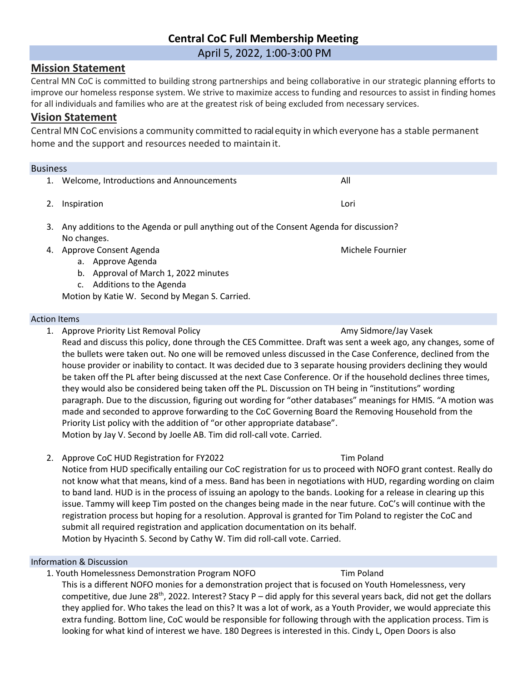# **Central CoC Full Membership Meeting**

April 5, 2022, 1:00-3:00 PM

# **Mission Statement**

Central MN CoC is committed to building strong partnerships and being collaborative in our strategic planning efforts to improve our homeless response system. We strive to maximize access to funding and resources to assist in finding homes for all individuals and families who are at the greatest risk of being excluded from necessary services.

# **Vision Statement**

Central MN CoC envisions a community committed to racialequity in which everyone has a stable permanent home and the support and resources needed to maintain it.

| <b>Business</b> |                                                                                                                            |                  |
|-----------------|----------------------------------------------------------------------------------------------------------------------------|------------------|
|                 | Welcome, Introductions and Announcements                                                                                   | All              |
|                 | Inspiration                                                                                                                | Lori             |
| 3.              | Any additions to the Agenda or pull anything out of the Consent Agenda for discussion?<br>No changes.                      |                  |
| 4.              | Approve Consent Agenda<br>Approve Agenda<br>а.<br>Approval of March 1, 2022 minutes<br>b.<br>Additions to the Agenda<br>c. | Michele Fournier |

Motion by Katie W. Second by Megan S. Carried.

### Action Items

1. Approve Priority List Removal Policy Amy Sidmore Amy Sidmore/Jay Vasek

Read and discuss this policy, done through the CES Committee. Draft was sent a week ago, any changes, some of the bullets were taken out. No one will be removed unless discussed in the Case Conference, declined from the house provider or inability to contact. It was decided due to 3 separate housing providers declining they would be taken off the PL after being discussed at the next Case Conference. Or if the household declines three times, they would also be considered being taken off the PL. Discussion on TH being in "institutions" wording paragraph. Due to the discussion, figuring out wording for "other databases" meanings for HMIS. "A motion was made and seconded to approve forwarding to the CoC Governing Board the Removing Household from the Priority List policy with the addition of "or other appropriate database". Motion by Jay V. Second by Joelle AB. Tim did roll-call vote. Carried.

2. Approve CoC HUD Registration for FY2022 Tim Poland

Notice from HUD specifically entailing our CoC registration for us to proceed with NOFO grant contest. Really do not know what that means, kind of a mess. Band has been in negotiations with HUD, regarding wording on claim to band land. HUD is in the process of issuing an apology to the bands. Looking for a release in clearing up this issue. Tammy will keep Tim posted on the changes being made in the near future. CoC's will continue with the registration process but hoping for a resolution. Approval is granted for Tim Poland to register the CoC and submit all required registration and application documentation on its behalf. Motion by Hyacinth S. Second by Cathy W. Tim did roll-call vote. Carried.

### Information & Discussion

1. Youth Homelessness Demonstration Program NOFO Tim Poland

This is a different NOFO monies for a demonstration project that is focused on Youth Homelessness, very competitive, due June 28<sup>th</sup>, 2022. Interest? Stacy P – did apply for this several years back, did not get the dollars they applied for. Who takes the lead on this? It was a lot of work, as a Youth Provider, we would appreciate this extra funding. Bottom line, CoC would be responsible for following through with the application process. Tim is looking for what kind of interest we have. 180 Degrees is interested in this. Cindy L, Open Doors is also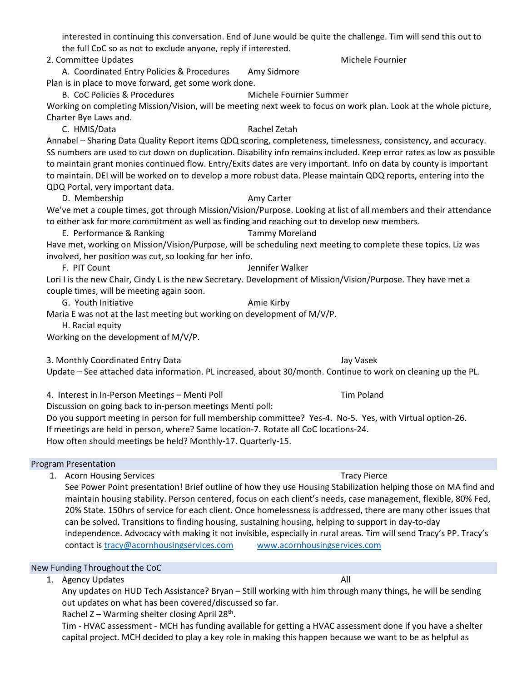interested in continuing this conversation. End of June would be quite the challenge. Tim will send this out to the full CoC so as not to exclude anyone, reply if interested.

2. Committee Updates Michele Fournier

A. Coordinated Entry Policies & Procedures Amy Sidmore Plan is in place to move forward, get some work done.

B. CoC Policies & Procedures Michele Fournier Summer

Working on completing Mission/Vision, will be meeting next week to focus on work plan. Look at the whole picture, Charter Bye Laws and.

C. HMIS/Data Rachel Zetah

Annabel – Sharing Data Quality Report items QDQ scoring, completeness, timelessness, consistency, and accuracy. SS numbers are used to cut down on duplication. Disability info remains included. Keep error rates as low as possible to maintain grant monies continued flow. Entry/Exits dates are very important. Info on data by county is important to maintain. DEI will be worked on to develop a more robust data. Please maintain QDQ reports, entering into the QDQ Portal, very important data.

D. Membership **Amy Carter** Amy Carter We've met a couple times, got through Mission/Vision/Purpose. Looking at list of all members and their attendance to either ask for more commitment as well as finding and reaching out to develop new members.

E. Performance & Ranking Tammy Moreland

Have met, working on Mission/Vision/Purpose, will be scheduling next meeting to complete these topics. Liz was involved, her position was cut, so looking for her info.

F. PIT Count General Account of the Second Lennifer Walker

Lori I is the new Chair, Cindy L is the new Secretary. Development of Mission/Vision/Purpose. They have met a couple times, will be meeting again soon.

G. Youth Initiative **Amie Kirby** Amie Kirby

Maria E was not at the last meeting but working on development of M/V/P.

H. Racial equity

Working on the development of M/V/P.

3. Monthly Coordinated Entry Data Jay Vasek

Update – See attached data information. PL increased, about 30/month. Continue to work on cleaning up the PL.

4. Interest in In-Person Meetings – Menti Poll Tim Poland

Discussion on going back to in-person meetings Menti poll:

Do you support meeting in person for full membership committee? Yes-4. No-5. Yes, with Virtual option-26. If meetings are held in person, where? Same location-7. Rotate all CoC locations-24. How often should meetings be held? Monthly-17. Quarterly-15.

Program Presentation

1. Acorn Housing Services Tracy Pierce Tracy Pierce

See Power Point presentation! Brief outline of how they use Housing Stabilization helping those on MA find and maintain housing stability. Person centered, focus on each client's needs, case management, flexible, 80% Fed, 20% State. 150hrs of service for each client. Once homelessness is addressed, there are many other issues that can be solved. Transitions to finding housing, sustaining housing, helping to support in day-to-day independence. Advocacy with making it not invisible, especially in rural areas. Tim will send Tracy's PP. Tracy's contact is [tracy@acornhousingservices.com](mailto:tracy@acornhousingservices.com) [www.acornhousingservices.com](http://www.acornhousingservices.com/)

## New Funding Throughout the CoC

1. Agency Updates All All and the Second Second Second Second Second Second Second Second Second Second Second Second Second Second Second Second Second Second Second Second Second Second Second Second Second Second Second

Any updates on HUD Tech Assistance? Bryan – Still working with him through many things, he will be sending out updates on what has been covered/discussed so far.

Rachel Z - Warming shelter closing April 28<sup>th</sup>.

Tim - HVAC assessment - MCH has funding available for getting a HVAC assessment done if you have a shelter capital project. MCH decided to play a key role in making this happen because we want to be as helpful as